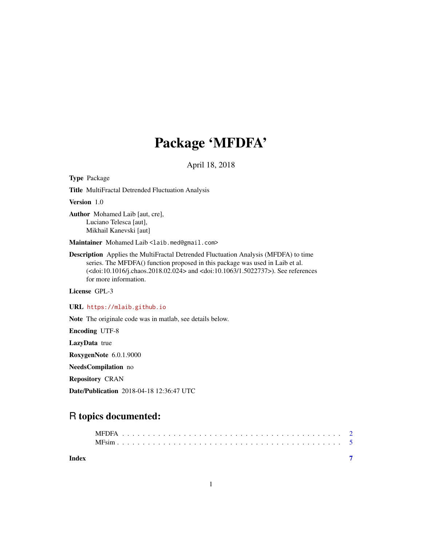## Package 'MFDFA'

April 18, 2018

Type Package

Title MultiFractal Detrended Fluctuation Analysis

Version 1.0

Author Mohamed Laib [aut, cre], Luciano Telesca [aut], Mikhail Kanevski [aut]

Maintainer Mohamed Laib <laib.med@gmail.com>

Description Applies the MultiFractal Detrended Fluctuation Analysis (MFDFA) to time series. The MFDFA() function proposed in this package was used in Laib et al. (<doi:10.1016/j.chaos.2018.02.024> and <doi:10.1063/1.5022737>). See references for more information.

License GPL-3

URL <https://mlaib.github.io>

Note The originale code was in matlab, see details below.

Encoding UTF-8

LazyData true

RoxygenNote 6.0.1.9000

NeedsCompilation no

Repository CRAN

Date/Publication 2018-04-18 12:36:47 UTC

### R topics documented:

| Index |  |  |  |  |  |  |  |  |  |  |  |  |  |  |  |  |  |  |  |  |  |  |
|-------|--|--|--|--|--|--|--|--|--|--|--|--|--|--|--|--|--|--|--|--|--|--|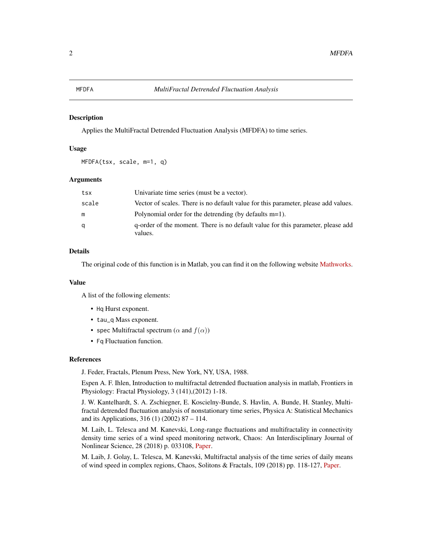#### <span id="page-1-0"></span>**Description**

Applies the MultiFractal Detrended Fluctuation Analysis (MFDFA) to time series.

#### Usage

MFDFA(tsx, scale, m=1, q)

#### Arguments

| tsx   | Univariate time series (must be a vector).                                                 |
|-------|--------------------------------------------------------------------------------------------|
| scale | Vector of scales. There is no default value for this parameter, please add values.         |
| m     | Polynomial order for the detrending (by defaults $m=1$ ).                                  |
| a     | q-order of the moment. There is no default value for this parameter, please add<br>values. |

#### Details

The original code of this function is in Matlab, you can find it on the following website [Mathworks.](https://ch.mathworks.com/matlabcentral/fileexchange/38262-multifractal-detrended-fluctuation-analyses?focused=5247306&tab=function)

#### Value

A list of the following elements:

- Hq Hurst exponent.
- tau\_q Mass exponent.
- spec Multifractal spectrum ( $\alpha$  and  $f(\alpha)$ )
- Fq Fluctuation function.

#### References

J. Feder, Fractals, Plenum Press, New York, NY, USA, 1988.

Espen A. F. Ihlen, Introduction to multifractal detrended fluctuation analysis in matlab, Frontiers in Physiology: Fractal Physiology, 3 (141),(2012) 1-18.

J. W. Kantelhardt, S. A. Zschiegner, E. Koscielny-Bunde, S. Havlin, A. Bunde, H. Stanley, Multifractal detrended fluctuation analysis of nonstationary time series, Physica A: Statistical Mechanics and its Applications, 316 (1) (2002) 87 – 114.

M. Laib, L. Telesca and M. Kanevski, Long-range fluctuations and multifractality in connectivity density time series of a wind speed monitoring network, Chaos: An Interdisciplinary Journal of Nonlinear Science, 28 (2018) p. 033108, [Paper.](https://aip.scitation.org/doi/10.1063/1.5022737)

M. Laib, J. Golay, L. Telesca, M. Kanevski, Multifractal analysis of the time series of daily means of wind speed in complex regions, Chaos, Solitons & Fractals, 109 (2018) pp. 118-127, [Paper.](https://www.sciencedirect.com/science/article/pii/S0960077918300699)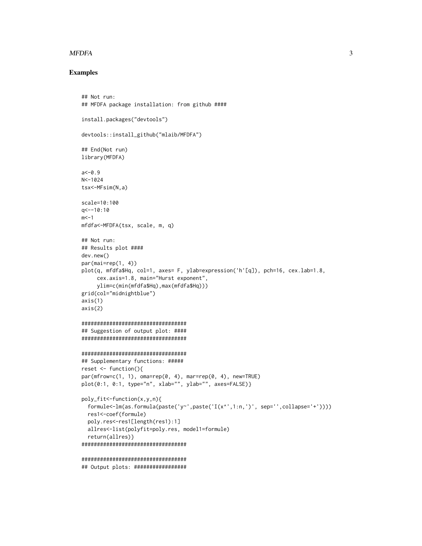#### **MFDFA**

#### **Examples**

```
## Not run:
## MFDFA package installation: from github ####
install.packages("devtools")
devtools::install_github("mlaib/MFDFA")
## End(Not run)
library(MFDFA)
a < -0.9N < -1024tsx < -MFsim(N,a)scale=10:100
q< -10:10m < -1mfdfa<-MFDFA(tsx, scale, m, q)
## Not run:
## Results plot ####
dev.new()par(mai=rep(1, 4))plot(q, mfdfa$Hq, col=1, axes= F, ylab=expression('h'[q]), pch=16, cex.lab=1.8,
     cex.axis=1.8, main="Hurst exponent",
     ylim=c(min(mfdfa$Hq),max(mfdfa$Hq)))
grid(col="midnightblue")
axis(1)axis(2)##################################
## Suggestion of output plot: ####
#################################
##################################
## Supplementary functions: #####
reset \leftarrow function()par(mfrow=c(1, 1), oma=rep(0, 4), mar=rep(0, 4), new=TRUE)plot(0:1, 0:1, type="n", xlab="", ylab="", axes=FALSE)}
poly_fit<-function(x,y,n){
  formule <- lm(as. formula(paste('y'', paste('I(x'', 1:n,'))', sep='', collapse' +'))))res1<-coef(formule)
  poly.res<-res1[length(res1):1]
  allres<-list(polyfit=poly.res, model1=formule)
  return(allres)}
#################################
#################################
## Output plots: #################
```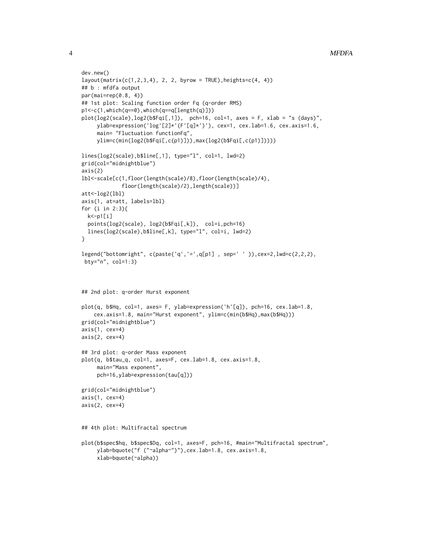```
dev.new()
layout(matrix(c(1,2,3,4), 2, 2, byrow = TRUE), heights=c(4, 4))
## b : mfdfa output
par(mai=rep(0.8, 4))
## 1st plot: Scaling function order Fq (q-order RMS)
p1<-c(1,which(q==0),which(q==q[length(q)]))
plot(log2(scale), log2(b$Figi[, 1]), pch=16, col=1, axes = F, xlab = "s (days)",ylab=expression('log'[2]*'(F'[q]*')'), cex=1, cex.lab=1.6, cex.axis=1.6,
     main= "Fluctuation functionFq",
    ylim=c(min(log2(b$Fqi[,c(p1)])),max(log2(b$Fqi[,c(p1)]))))
lines(log2(scale),b$line[,1], type="l", col=1, lwd=2)
grid(col="midnightblue")
axis(2)
lbl<-scale[c(1,floor(length(scale)/8),floor(length(scale)/4),
             floor(length(scale)/2),length(scale))]
att<-log2(lbl)
axis(1, at=att, labels=lbl)
for (i in 2:3){
 k<-p1[i]
 points(log2(scale), log2(b$Fqi[,k]), col=i,pch=16)
 lines(log2(scale),b$line[,k], type="l", col=i, lwd=2)
}
legend("bottomright", c(paste('q','=',q[p1] , sep=' ' )),cex=2,lwd=c(2,2,2),
bty="n", col=1:3)
## 2nd plot: q-order Hurst exponent
plot(q, b$Hq, col=1, axes= F, ylab=expression('h'[q]), pch=16, cex.lab=1.8,
   cex.axis=1.8, main="Hurst exponent", ylim=c(min(b$Hq),max(b$Hq)))
grid(col="midnightblue")
axis(1, cex=4)
axis(2, cex=4)
## 3rd plot: q-order Mass exponent
plot(q, b$tau_q, col=1, axes=F, cex.lab=1.8, cex.axis=1.8,
     main="Mass exponent",
     pch=16,ylab=expression(tau[q]))
grid(col="midnightblue")
axis(1, cex=4)
axis(2, cex=4)## 4th plot: Multifractal spectrum
plot(b$spec$hq, b$spec$Dq, col=1, axes=F, pch=16, #main="Multifractal spectrum",
     ylab=bquote("f ("~alpha~")"),cex.lab=1.8, cex.axis=1.8,
     xlab=bquote(~alpha))
```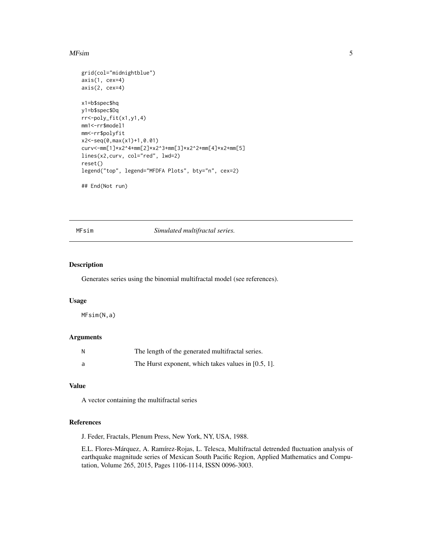#### <span id="page-4-0"></span>MFsim 5

```
grid(col="midnightblue")
axis(1, cex=4)
axis(2, cex=4)
x1=b$spec$hq
y1=b$spec$Dq
rr<-poly_fit(x1,y1,4)
mm1<-rr$model1
mm<-rr$polyfit
x2<-seq(0,max(x1)+1,0.01)
curv<-mm[1]*x2^4+mm[2]*x2^3+mm[3]*x2^2+mm[4]*x2+mm[5]
lines(x2,curv, col="red", lwd=2)
reset()
legend("top", legend="MFDFA Plots", bty="n", cex=2)
## End(Not run)
```
MFsim *Simulated multifractal series.*

#### Description

Generates series using the binomial multifractal model (see references).

#### Usage

MFsim(N,a)

#### Arguments

| N | The length of the generated multifractal series.    |
|---|-----------------------------------------------------|
| a | The Hurst exponent, which takes values in [0.5, 1]. |

#### Value

A vector containing the multifractal series

#### References

J. Feder, Fractals, Plenum Press, New York, NY, USA, 1988.

E.L. Flores-Márquez, A. Ramírez-Rojas, L. Telesca, Multifractal detrended fluctuation analysis of earthquake magnitude series of Mexican South Pacific Region, Applied Mathematics and Computation, Volume 265, 2015, Pages 1106-1114, ISSN 0096-3003.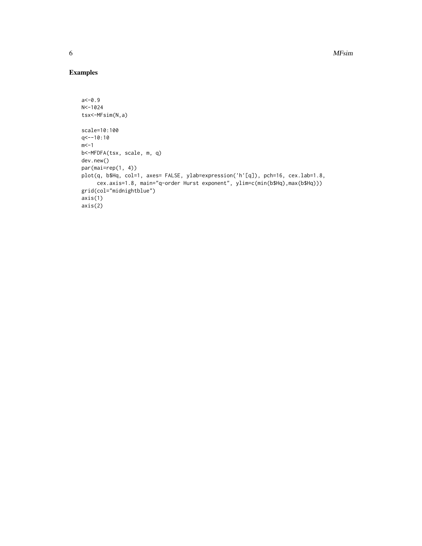#### Examples

```
a < -0.9N<-1024
tsx<-MFsim(N,a)
scale=10:100
q<--10:10
m < -1b<-MFDFA(tsx, scale, m, q)
dev.new()
par(mai=rep(1, 4))
plot(q, b$Hq, col=1, axes= FALSE, ylab=expression('h'[q]), pch=16, cex.lab=1.8,
     cex.axis=1.8, main="q-order Hurst exponent", ylim=c(min(b$Hq),max(b$Hq)))
grid(col="midnightblue")
axis(1)
axis(2)
```